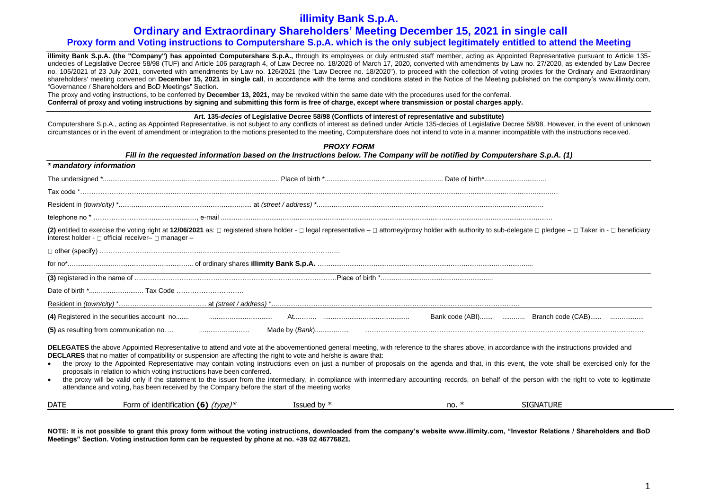# **Ordinary and Extraordinary Shareholders' Meeting December 15, 2021 in single call**

## **Proxy form and Voting instructions to Computershare S.p.A. which is the only subject legitimately entitled to attend the Meeting**

**illimity Bank S.p.A. (the "Company") has appointed Computershare S.p.A.,** through its employees or duly entrusted staff member, acting as Appointed Representative pursuant to Article 135undecies of Legislative Decree 58/98 (TUF) and Article 106 paragraph 4, of Law Decree no. 18/2020 of March 17, 2020, converted with amendments by Law no. 27/2020, as extended by Law Decree no. 105/2021 of 23 July 2021, converted with amendments by Law no. 126/2021 (the "Law Decree no. 18/2020"), to proceed with the collection of voting proxies for the Ordinary and Extraordinary shareholders' meeting convened on **December 15, 2021 in single call**, in accordance with the terms and conditions stated in the Notice of the Meeting published on the company's www.illimity.com, "Governance / Shareholders and BoD Meetings" Section.

The proxy and voting instructions, to be conferred by **December 13, 2021,** may be revoked within the same date with the procedures used for the conferral.

**Conferral of proxy and voting instructions by signing and submitting this form is free of charge, except where transmission or postal charges apply.**

#### **Art. 135-***decies* **of Legislative Decree 58/98 (Conflicts of interest of representative and substitute)**

Computershare S.p.A., acting as Appointed Representative, is not subject to any conflicts of interest as defined under Article 135-decies of Legislative Decree 58/98. However, in the event of unknown circumstances or in the event of amendment or integration to the motions presented to the meeting, Computershare does not intend to vote in a manner incompatible with the instructions received.

|                         |                                                                                                                                                                                                                                                                                                                                                                                                                                                                                                                                                                                                                                                                                             | <b>PROXY FORM</b>                                                                                                           |         |                                                                                                                                                                                                     |
|-------------------------|---------------------------------------------------------------------------------------------------------------------------------------------------------------------------------------------------------------------------------------------------------------------------------------------------------------------------------------------------------------------------------------------------------------------------------------------------------------------------------------------------------------------------------------------------------------------------------------------------------------------------------------------------------------------------------------------|-----------------------------------------------------------------------------------------------------------------------------|---------|-----------------------------------------------------------------------------------------------------------------------------------------------------------------------------------------------------|
| * mandatory information |                                                                                                                                                                                                                                                                                                                                                                                                                                                                                                                                                                                                                                                                                             | Fill in the requested information based on the Instructions below. The Company will be notified by Computershare S.p.A. (1) |         |                                                                                                                                                                                                     |
|                         |                                                                                                                                                                                                                                                                                                                                                                                                                                                                                                                                                                                                                                                                                             |                                                                                                                             |         |                                                                                                                                                                                                     |
|                         |                                                                                                                                                                                                                                                                                                                                                                                                                                                                                                                                                                                                                                                                                             |                                                                                                                             |         |                                                                                                                                                                                                     |
|                         |                                                                                                                                                                                                                                                                                                                                                                                                                                                                                                                                                                                                                                                                                             |                                                                                                                             |         |                                                                                                                                                                                                     |
|                         |                                                                                                                                                                                                                                                                                                                                                                                                                                                                                                                                                                                                                                                                                             |                                                                                                                             |         |                                                                                                                                                                                                     |
|                         | (2) entitled to exercise the voting right at 12/06/2021 as: □ registered share holder - □ legal representative - □ attorney/proxy holder with authority to sub-delegate □ pledgee - □ Taker in - □ beneficiary<br>interest holder - $\Box$ official receiver- $\Box$ manager -                                                                                                                                                                                                                                                                                                                                                                                                              |                                                                                                                             |         |                                                                                                                                                                                                     |
|                         |                                                                                                                                                                                                                                                                                                                                                                                                                                                                                                                                                                                                                                                                                             |                                                                                                                             |         |                                                                                                                                                                                                     |
|                         |                                                                                                                                                                                                                                                                                                                                                                                                                                                                                                                                                                                                                                                                                             |                                                                                                                             |         |                                                                                                                                                                                                     |
|                         |                                                                                                                                                                                                                                                                                                                                                                                                                                                                                                                                                                                                                                                                                             |                                                                                                                             |         |                                                                                                                                                                                                     |
|                         |                                                                                                                                                                                                                                                                                                                                                                                                                                                                                                                                                                                                                                                                                             |                                                                                                                             |         |                                                                                                                                                                                                     |
|                         |                                                                                                                                                                                                                                                                                                                                                                                                                                                                                                                                                                                                                                                                                             |                                                                                                                             |         |                                                                                                                                                                                                     |
|                         |                                                                                                                                                                                                                                                                                                                                                                                                                                                                                                                                                                                                                                                                                             |                                                                                                                             |         |                                                                                                                                                                                                     |
|                         |                                                                                                                                                                                                                                                                                                                                                                                                                                                                                                                                                                                                                                                                                             |                                                                                                                             |         |                                                                                                                                                                                                     |
| $\bullet$               | DELEGATES the above Appointed Representative to attend and vote at the abovementioned general meeting, with reference to the shares above, in accordance with the instructions provided and<br>DECLARES that no matter of compatibility or suspension are affecting the right to vote and he/she is aware that:<br>the proxy to the Appointed Representative may contain voting instructions even on just a number of proposals on the agenda and that, in this event, the vote shall be exercised only for the<br>proposals in relation to which voting instructions have been conferred.<br>attendance and voting, has been received by the Company before the start of the meeting works |                                                                                                                             |         | the proxy will be valid only if the statement to the issuer from the intermediary, in compliance with intermediary accounting records, on behalf of the person with the right to vote to legitimate |
| <b>DATE</b>             | Form of identification (6) $(type)*$                                                                                                                                                                                                                                                                                                                                                                                                                                                                                                                                                                                                                                                        | Issued by $*$                                                                                                               | no. $*$ | <b>SIGNATURE</b>                                                                                                                                                                                    |

**NOTE: It is not possible to grant this proxy form without the voting instructions, downloaded from the company's website www.illimity.com, "Investor Relations / Shareholders and BoD Meetings" Section. Voting instruction form can be requested by phone at no. +39 02 46776821.**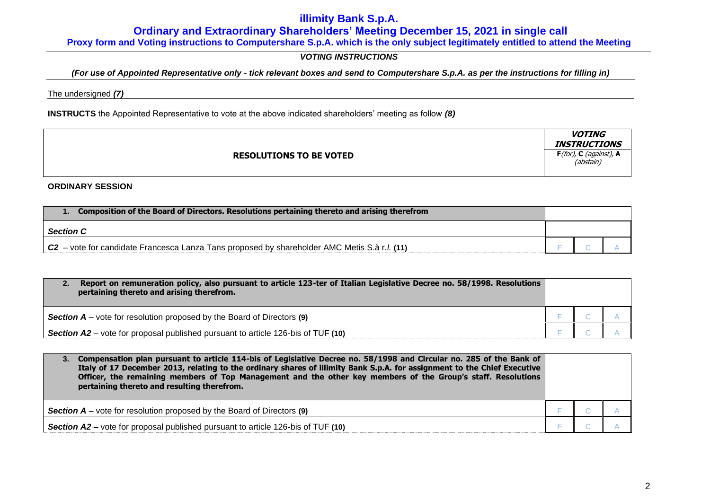**Ordinary and Extraordinary Shareholders' Meeting December 15, 2021 in single call**

**Proxy form and Voting instructions to Computershare S.p.A. which is the only subject legitimately entitled to attend the Meeting**

# *VOTING INSTRUCTIONS*

## *(For use of Appointed Representative only - tick relevant boxes and send to Computershare S.p.A. as per the instructions for filling in)*

The undersigned *(7)*

**INSTRUCTS** the Appointed Representative to vote at the above indicated shareholders' meeting as follow *(8)*

|                                | <b>VOTING</b><br><b>INSTRUCTIONS</b>   |
|--------------------------------|----------------------------------------|
| <b>RESOLUTIONS TO BE VOTED</b> | $F($ for), C (against), A<br>(abstain) |

**ORDINARY SESSION**

| Composition of the Board of Directors. Resolutions pertaining thereto and arising therefrom    |  |  |  |
|------------------------------------------------------------------------------------------------|--|--|--|
| <b>Section C</b>                                                                               |  |  |  |
| $C2$ – vote for candidate Francesca Lanza Tans proposed by shareholder AMC Metis S.à r.l. (11) |  |  |  |

| Report on remuneration policy, also pursuant to article 123-ter of Italian Legislative Decree no. 58/1998. Resolutions<br>2.<br>pertaining thereto and arising therefrom. |  |  |
|---------------------------------------------------------------------------------------------------------------------------------------------------------------------------|--|--|
| <b>Section A</b> – vote for resolution proposed by the Board of Directors $(9)$                                                                                           |  |  |
| <b>Section A2</b> – vote for proposal published pursuant to article 126-bis of TUF (10)                                                                                   |  |  |

| Compensation plan pursuant to article 114-bis of Legislative Decree no. 58/1998 and Circular no. 285 of the Bank of<br>3.<br>Italy of 17 December 2013, relating to the ordinary shares of illimity Bank S.p.A. for assignment to the Chief Executive<br>Officer, the remaining members of Top Management and the other key members of the Group's staff. Resolutions<br>pertaining thereto and resulting therefrom. |  |  |
|----------------------------------------------------------------------------------------------------------------------------------------------------------------------------------------------------------------------------------------------------------------------------------------------------------------------------------------------------------------------------------------------------------------------|--|--|
| <b>Section A</b> – vote for resolution proposed by the Board of Directors $(9)$                                                                                                                                                                                                                                                                                                                                      |  |  |
| <b>Section A2</b> – vote for proposal published pursuant to article 126-bis of TUF (10)                                                                                                                                                                                                                                                                                                                              |  |  |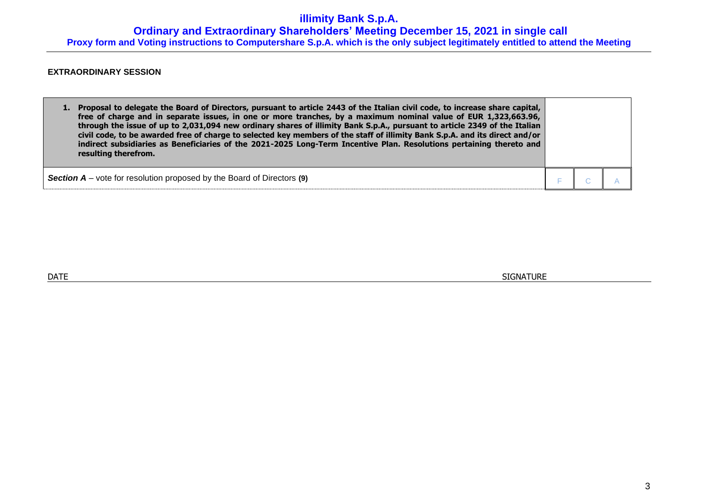**illimity Bank S.p.A. Ordinary and Extraordinary Shareholders' Meeting December 15, 2021 in single call Proxy form and Voting instructions to Computershare S.p.A. which is the only subject legitimately entitled to attend the Meeting**

## **EXTRAORDINARY SESSION**

| Proposal to delegate the Board of Directors, pursuant to article 2443 of the Italian civil code, to increase share capital,<br>free of charge and in separate issues, in one or more tranches, by a maximum nominal value of EUR 1,323,663.96,<br>through the issue of up to 2,031,094 new ordinary shares of illimity Bank S.p.A., pursuant to article 2349 of the Italian<br>civil code, to be awarded free of charge to selected key members of the staff of illimity Bank S.p.A. and its direct and/or<br>indirect subsidiaries as Beneficiaries of the 2021-2025 Long-Term Incentive Plan. Resolutions pertaining thereto and<br>resulting therefrom. |  |  |
|------------------------------------------------------------------------------------------------------------------------------------------------------------------------------------------------------------------------------------------------------------------------------------------------------------------------------------------------------------------------------------------------------------------------------------------------------------------------------------------------------------------------------------------------------------------------------------------------------------------------------------------------------------|--|--|
| <b>Section <math>A</math></b> – vote for resolution proposed by the Board of Directors (9)                                                                                                                                                                                                                                                                                                                                                                                                                                                                                                                                                                 |  |  |

 $\blacksquare$  DATE  $\blacksquare$  SIGNATURE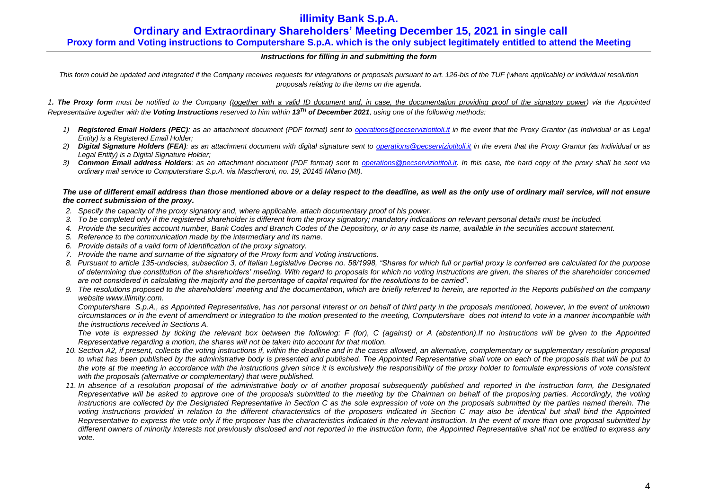# **Ordinary and Extraordinary Shareholders' Meeting December 15, 2021 in single call**

**Proxy form and Voting instructions to Computershare S.p.A. which is the only subject legitimately entitled to attend the Meeting**

### *Instructions for filling in and submitting the form*

This form could be updated and integrated if the Company receives requests for integrations or proposals pursuant to art. 126-bis of the TUF (where applicable) or individual resolution *proposals relating to the items on the agenda.*

*1. The Proxy form must be notified to the Company (together with a valid ID document and, in case, the documentation providing proof of the signatory power) via the Appointed Representative together with the Voting Instructions reserved to him within 13TH of December 2021, using one of the following methods:*

- *1) Registered Email Holders (PEC): as an attachment document (PDF format) sent to [operations@pecserviziotitoli.it](mailto:operations@pecserviziotitoli.it) in the event that the Proxy Grantor (as Individual or as Legal Entity) is a Registered Email Holder;*
- *2) Digital Signature Holders (FEA): as an attachment document with digital signature sent to [operations@pecserviziotitoli.it](mailto:operations@pecserviziotitoli.it) in the event that the Proxy Grantor (as Individual or as Legal Entity) is a Digital Signature Holder;*
- *3) Common Email address Holders: as an attachment document (PDF format) sent to [operations@pecserviziotitoli.it.](mailto:operations@pecserviziotitoli.it) In this case, the hard copy of the proxy shall be sent via ordinary mail service to Computershare S.p.A. via Mascheroni, no. 19, 20145 Milano (MI).*

*The use of different email address than those mentioned above or a delay respect to the deadline, as well as the only use of ordinary mail service, will not ensure the correct submission of the proxy.*

- *2. Specify the capacity of the proxy signatory and, where applicable, attach documentary proof of his power.*
- *3. To be completed only if the registered shareholder is different from the proxy signatory; mandatory indications on relevant personal details must be included.*
- *4. Provide the securities account number, Bank Codes and Branch Codes of the Depository, or in any case its name, available in the securities account statement.*
- *5. Reference to the communication made by the intermediary and its name.*
- *6. Provide details of a valid form of identification of the proxy signatory.*
- *7. Provide the name and surname of the signatory of the Proxy form and Voting instructions.*
- *8. Pursuant to article 135-undecies, subsection 3, of Italian Legislative Decree no. 58/1998, "Shares for which full or partial proxy is conferred are calculated for the purpose of determining due constitution of the shareholders' meeting. With regard to proposals for which no voting instructions are given, the shares of the shareholder concerned are not considered in calculating the majority and the percentage of capital required for the resolutions to be carried".*
- *9. The resolutions proposed to the shareholders' meeting and the documentation, which are briefly referred to herein, are reported in the Reports published on the company websit[e www.illimity.com.](http://www.illimity.com/)*

*Computershare S.p.A., as Appointed Representative, has not personal interest or on behalf of third party in the proposals mentioned, however, in the event of unknown circumstances or in the event of amendment or integration to the motion presented to the meeting, Computershare does not intend to vote in a manner incompatible with the instructions received in Sections A.*

*The vote is expressed by ticking the relevant box between the following: F (for), C (against) or A (abstention).If no instructions will be given to the Appointed Representative regarding a motion, the shares will not be taken into account for that motion.*

- *10. Section A2, if present, collects the voting instructions if, within the deadline and in the cases allowed, an alternative, complementary or supplementary resolution proposal to what has been published by the administrative body is presented and published. The Appointed Representative shall vote on each of the proposals that will be put to*  the vote at the meeting in accordance with the instructions given since it is exclusively the responsibility of the proxy holder to formulate expressions of vote consistent *with the proposals (alternative or complementary) that were published.*
- *11. In absence of a resolution proposal of the administrative body or of another proposal subsequently published and reported in the instruction form, the Designated Representative will be asked to approve one of the proposals submitted to the meeting by the Chairman on behalf of the proposing parties. Accordingly, the voting*  instructions are collected by the Designated Representative in Section C as the sole expression of vote on the proposals submitted by the parties named therein. The *voting instructions provided in relation to the different characteristics of the proposers indicated in Section C may also be identical but shall bind the Appointed Representative to express the vote only if the proposer has the characteristics indicated in the relevant instruction. In the event of more than one proposal submitted by different owners of minority interests not previously disclosed and not reported in the instruction form, the Appointed Representative shall not be entitled to express any vote.*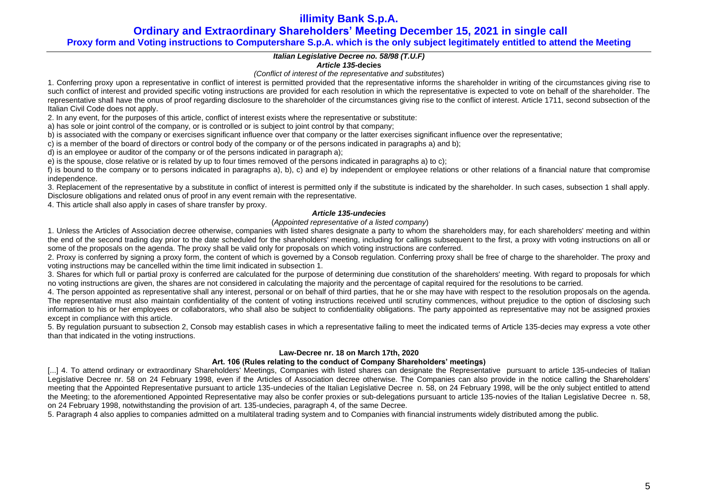**Ordinary and Extraordinary Shareholders' Meeting December 15, 2021 in single call**

## **Proxy form and Voting instructions to Computershare S.p.A. which is the only subject legitimately entitled to attend the Meeting**

## *Italian Legislative Decree no. 58/98 (T.U.F)*

### *Article 135-***decies**

*(Conflict of interest of the representative and substitutes*)

1. Conferring proxy upon a representative in conflict of interest is permitted provided that the representative informs the shareholder in writing of the circumstances giving rise to such conflict of interest and provided specific voting instructions are provided for each resolution in which the representative is expected to vote on behalf of the shareholder. The representative shall have the onus of proof regarding disclosure to the shareholder of the circumstances giving rise to the conflict of interest. Article 1711, second subsection of the Italian Civil Code does not apply.

2. In any event, for the purposes of this article, conflict of interest exists where the representative or substitute:

a) has sole or joint control of the company, or is controlled or is subject to joint control by that company;

b) is associated with the company or exercises significant influence over that company or the latter exercises significant influence over the representative;

c) is a member of the board of directors or control body of the company or of the persons indicated in paragraphs a) and b);

d) is an employee or auditor of the company or of the persons indicated in paragraph a);

e) is the spouse, close relative or is related by up to four times removed of the persons indicated in paragraphs a) to c);

f) is bound to the company or to persons indicated in paragraphs a), b), c) and e) by independent or employee relations or other relations of a financial nature that compromise independence.

3. Replacement of the representative by a substitute in conflict of interest is permitted only if the substitute is indicated by the shareholder. In such cases, subsection 1 shall apply. Disclosure obligations and related onus of proof in any event remain with the representative.

4. This article shall also apply in cases of share transfer by proxy.

### *Article 135-undecies*

### (*Appointed representative of a listed company*)

1. Unless the Articles of Association decree otherwise, companies with listed shares designate a party to whom the shareholders may, for each shareholders' meeting and within the end of the second trading day prior to the date scheduled for the shareholders' meeting, including for callings subsequent to the first, a proxy with voting instructions on all or some of the proposals on the agenda. The proxy shall be valid only for proposals on which voting instructions are conferred.

2. Proxy is conferred by signing a proxy form, the content of which is governed by a Consob regulation. Conferring proxy shall be free of charge to the shareholder. The proxy and voting instructions may be cancelled within the time limit indicated in subsection 1.

3. Shares for which full or partial proxy is conferred are calculated for the purpose of determining due constitution of the shareholders' meeting. With regard to proposals for which no voting instructions are given, the shares are not considered in calculating the majority and the percentage of capital required for the resolutions to be carried.

4. The person appointed as representative shall any interest, personal or on behalf of third parties, that he or she may have with respect to the resolution proposals on the agenda. The representative must also maintain confidentiality of the content of voting instructions received until scrutiny commences, without prejudice to the option of disclosing such information to his or her employees or collaborators, who shall also be subject to confidentiality obligations. The party appointed as representative may not be assigned proxies except in compliance with this article.

5. By regulation pursuant to subsection 2, Consob may establish cases in which a representative failing to meet the indicated terms of Article 135-decies may express a vote other than that indicated in the voting instructions.

## **Law-Decree nr. 18 on March 17th, 2020**

### **Art. 106 (Rules relating to the conduct of Company Shareholders' meetings)**

[...] 4. To attend ordinary or extraordinary Shareholders' Meetings, Companies with listed shares can designate the Representative pursuant to article 135-undecies of Italian Legislative Decree nr. 58 on 24 February 1998, even if the Articles of Association decree otherwise. The Companies can also provide in the notice calling the Shareholders' meeting that the Appointed Representative pursuant to article 135-undecies of the Italian Legislative Decree n. 58, on 24 February 1998, will be the only subject entitled to attend the Meeting; to the aforementioned Appointed Representative may also be confer proxies or sub-delegations pursuant to article 135-novies of the Italian Legislative Decree n. 58, on 24 February 1998, notwithstanding the provision of art. 135-undecies, paragraph 4, of the same Decree.

5. Paragraph 4 also applies to companies admitted on a multilateral trading system and to Companies with financial instruments widely distributed among the public.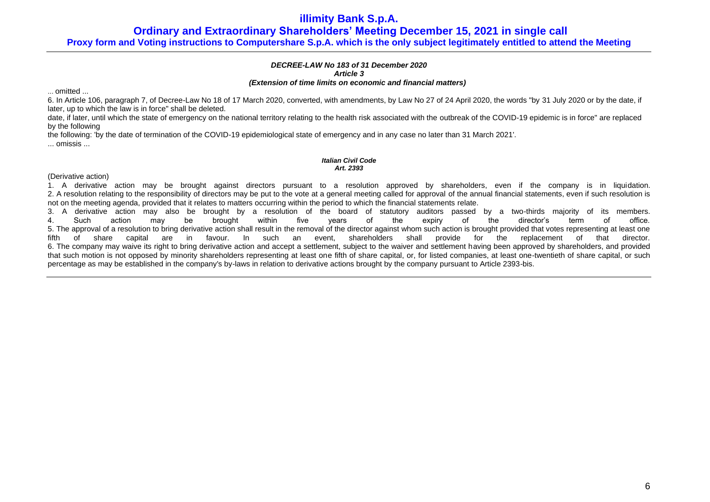**Ordinary and Extraordinary Shareholders' Meeting December 15, 2021 in single call**

**Proxy form and Voting instructions to Computershare S.p.A. which is the only subject legitimately entitled to attend the Meeting**

## *DECREE-LAW No 183 of 31 December 2020 Article 3*

#### *(Extension of time limits on economic and financial matters)*

... omitted ...

6. In Article 106, paragraph 7, of Decree-Law No 18 of 17 March 2020, converted, with amendments, by Law No 27 of 24 April 2020, the words "by 31 July 2020 or by the date, if later, up to which the law is in force" shall be deleted.

date, if later, until which the state of emergency on the national territory relating to the health risk associated with the outbreak of the COVID-19 epidemic is in force" are replaced by the following

the following: 'by the date of termination of the COVID-19 epidemiological state of emergency and in any case no later than 31 March 2021'.

... omissis ...

### *Italian Civil Code Art. 2393*

(Derivative action)

1. A derivative action may be brought against directors pursuant to a resolution approved by shareholders, even if the company is in liquidation. 2. A resolution relating to the responsibility of directors may be put to the vote at a general meeting called for approval of the annual financial statements, even if such resolution is not on the meeting agenda, provided that it relates to matters occurring within the period to which the financial statements relate.

3. A derivative action may also be brought by a resolution of the board of statutory auditors passed by a two-thirds majority of its members. 4. Such action may be brought within five years of the expiry of the director's term of office. 5. The approval of a resolution to bring derivative action shall result in the removal of the director against whom such action is brought provided that votes representing at least one fifth of share capital are in favour. In such an event, shareholders shall provide for the replacement of that director. 6. The company may waive its right to bring derivative action and accept a settlement, subject to the waiver and settlement having been approved by shareholders, and provided that such motion is not opposed by minority shareholders representing at least one fifth of share capital, or, for listed companies, at least one-twentieth of share capital, or such percentage as may be established in the company's by-laws in relation to derivative actions brought by the company pursuant to Article 2393-bis.